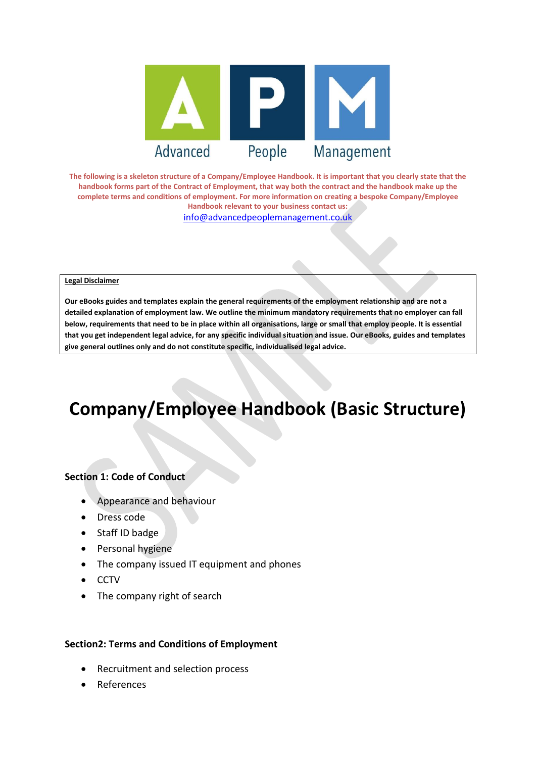

**The following is a skeleton structure of a Company/Employee Handbook. It is important that you clearly state that the handbook forms part of the Contract of Employment, that way both the contract and the handbook make up the complete terms and conditions of employment. For more information on creating a bespoke Company/Employee Handbook relevant to your business contact us:** [info@advancedpeoplemanagement.co.uk](mailto:info@advancedpeoplemanagement.co.uk)

#### **Legal Disclaimer**

**Our eBooks guides and templates explain the general requirements of the employment relationship and are not a detailed explanation of employment law. We outline the minimum mandatory requirements that no employer can fall below, requirements that need to be in place within all organisations, large or small that employ people. It is essential that you get independent legal advice, for any specific individual situation and issue. Our eBooks, guides and templates give general outlines only and do not constitute specific, individualised legal advice.**

# **Company/Employee Handbook (Basic Structure)**

#### **Section 1: Code of Conduct**

- Appearance and behaviour
- Dress code
- Staff ID badge
- Personal hygiene
- The company issued IT equipment and phones
- CCTV
- The company right of search

#### **Section2: Terms and Conditions of Employment**

- Recruitment and selection process
- References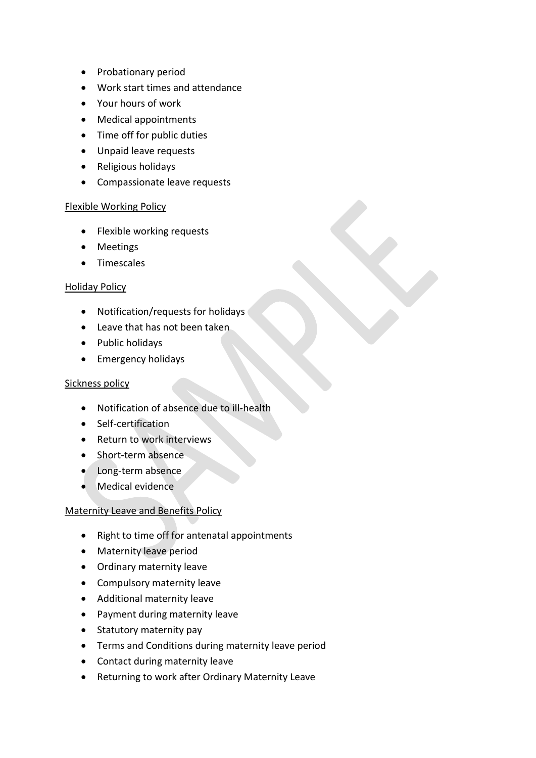- Probationary period
- Work start times and attendance
- Your hours of work
- Medical appointments
- Time off for public duties
- Unpaid leave requests
- Religious holidays
- Compassionate leave requests

#### Flexible Working Policy

- Flexible working requests
- Meetings
- Timescales

#### Holiday Policy

- Notification/requests for holidays
- Leave that has not been taken
- Public holidays
- Emergency holidays

#### Sickness policy

- Notification of absence due to ill-health
- Self-certification
- Return to work interviews
- Short-term absence
- Long-term absence
- Medical evidence

## Maternity Leave and Benefits Policy

- Right to time off for antenatal appointments
- Maternity leave period
- Ordinary maternity leave
- Compulsory maternity leave
- Additional maternity leave
- Payment during maternity leave
- Statutory maternity pay
- Terms and Conditions during maternity leave period
- Contact during maternity leave
- Returning to work after Ordinary Maternity Leave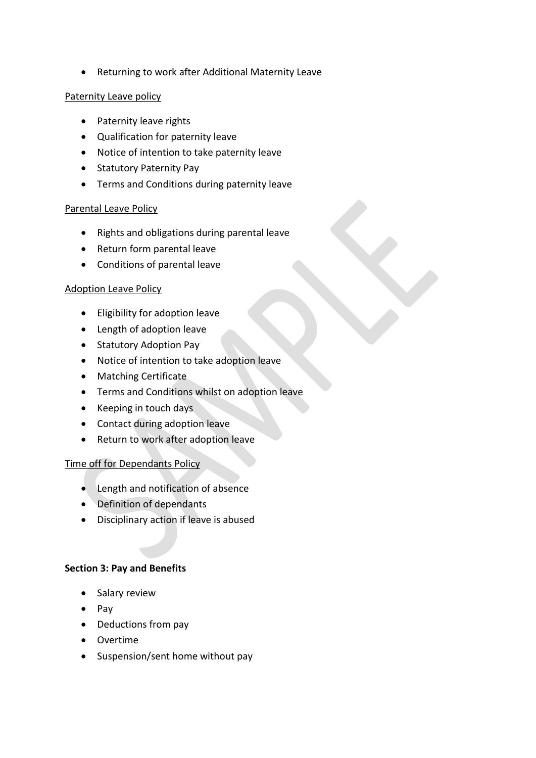Returning to work after Additional Maternity Leave

#### Paternity Leave policy

- Paternity leave rights
- Qualification for paternity leave
- Notice of intention to take paternity leave
- Statutory Paternity Pay
- **•** Terms and Conditions during paternity leave

#### Parental Leave Policy

- Rights and obligations during parental leave
- Return form parental leave
- Conditions of parental leave

#### Adoption Leave Policy

- Eligibility for adoption leave
- Length of adoption leave
- Statutory Adoption Pay
- Notice of intention to take adoption leave
- Matching Certificate
- Terms and Conditions whilst on adoption leave
- Keeping in touch days
- Contact during adoption leave
- Return to work after adoption leave

## Time off for Dependants Policy

- Length and notification of absence
- Definition of dependants
- Disciplinary action if leave is abused

## **Section 3: Pay and Benefits**

- Salary review
- $\bullet$  Pay
- Deductions from pay
- Overtime
- Suspension/sent home without pay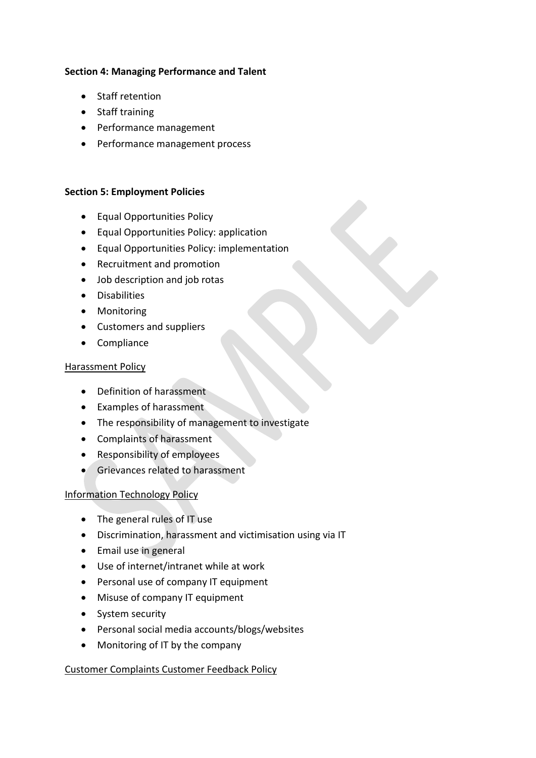#### **Section 4: Managing Performance and Talent**

- Staff retention
- Staff training
- Performance management
- Performance management process

#### **Section 5: Employment Policies**

- Equal Opportunities Policy
- Equal Opportunities Policy: application
- Equal Opportunities Policy: implementation
- Recruitment and promotion
- Job description and job rotas
- **•** Disabilities
- **•** Monitoring
- Customers and suppliers
- Compliance

#### Harassment Policy

- Definition of harassment
- Examples of harassment
- The responsibility of management to investigate
- Complaints of harassment
- Responsibility of employees
- Grievances related to harassment

## Information Technology Policy

- The general rules of IT use
- Discrimination, harassment and victimisation using via IT
- Email use in general
- Use of internet/intranet while at work
- Personal use of company IT equipment
- Misuse of company IT equipment
- System security
- Personal social media accounts/blogs/websites
- Monitoring of IT by the company

## Customer Complaints Customer Feedback Policy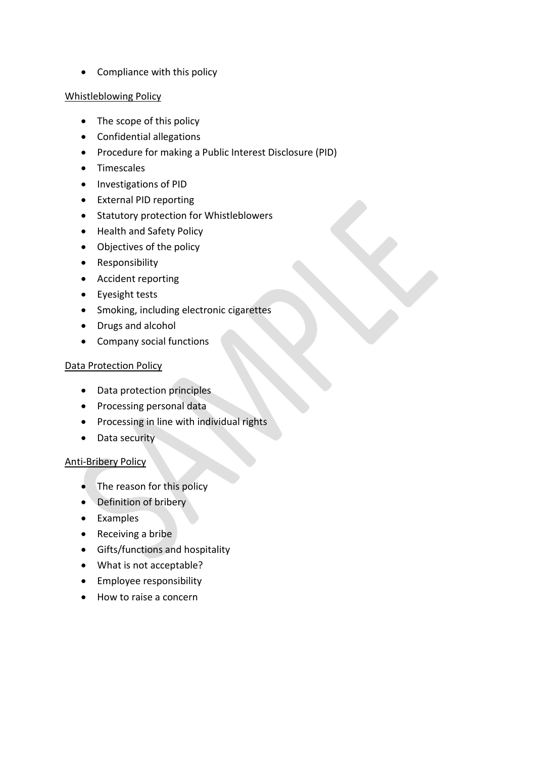• Compliance with this policy

#### Whistleblowing Policy

- The scope of this policy
- Confidential allegations
- Procedure for making a Public Interest Disclosure (PID)
- Timescales
- **•** Investigations of PID
- External PID reporting
- Statutory protection for Whistleblowers
- Health and Safety Policy
- Objectives of the policy
- Responsibility
- Accident reporting
- Eyesight tests
- Smoking, including electronic cigarettes
- Drugs and alcohol
- Company social functions

#### Data Protection Policy

- Data protection principles
- Processing personal data
- Processing in line with individual rights
- Data security

## Anti-Bribery Policy

- The reason for this policy
- Definition of bribery
- Examples
- Receiving a bribe
- Gifts/functions and hospitality
- What is not acceptable?
- Employee responsibility
- How to raise a concern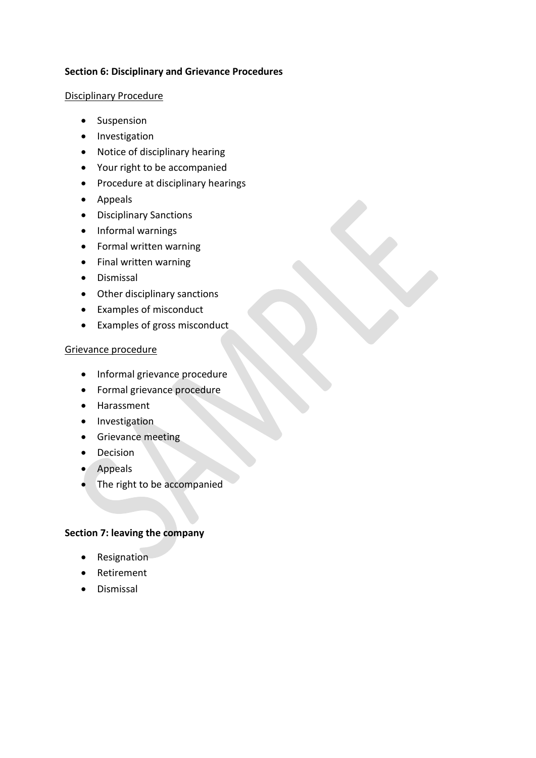#### **Section 6: Disciplinary and Grievance Procedures**

#### Disciplinary Procedure

- Suspension
- Investigation
- Notice of disciplinary hearing
- Your right to be accompanied
- Procedure at disciplinary hearings
- Appeals
- Disciplinary Sanctions
- Informal warnings
- Formal written warning
- Final written warning
- **•** Dismissal
- Other disciplinary sanctions
- Examples of misconduct
- Examples of gross misconduct

#### Grievance procedure

- Informal grievance procedure
- Formal grievance procedure
- Harassment
- **•** Investigation
- **•** Grievance meeting
- Decision
- Appeals
- The right to be accompanied

#### **Section 7: leaving the company**

- Resignation
- Retirement
- **•** Dismissal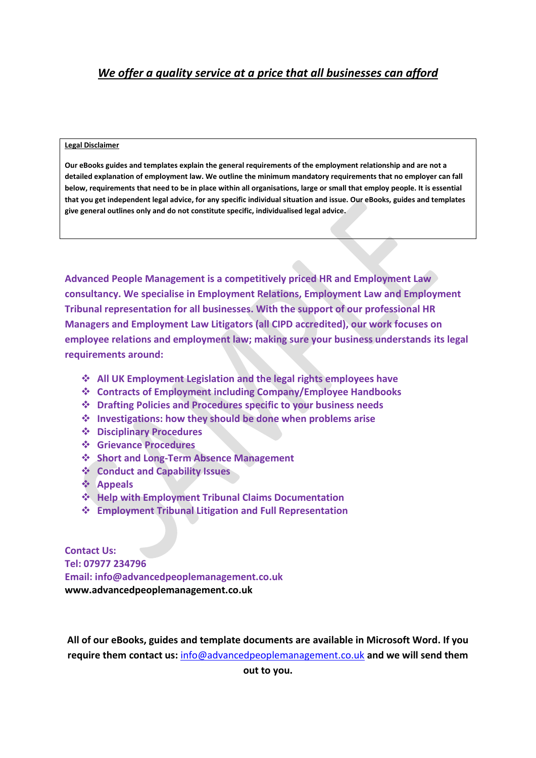# *We offer a quality service at a price that all businesses can afford*

#### **Legal Disclaimer**

**Our eBooks guides and templates explain the general requirements of the employment relationship and are not a detailed explanation of employment law. We outline the minimum mandatory requirements that no employer can fall below, requirements that need to be in place within all organisations, large or small that employ people. It is essential that you get independent legal advice, for any specific individual situation and issue. Our eBooks, guides and templates give general outlines only and do not constitute specific, individualised legal advice.**

**Advanced People Management is a competitively priced HR and Employment Law consultancy. We specialise in Employment Relations, Employment Law and Employment Tribunal representation for all businesses. With the support of our professional HR Managers and Employment Law Litigators (all CIPD accredited), our work focuses on employee relations and employment law; making sure your business understands its legal requirements around:**

- **All UK Employment Legislation and the legal rights employees have**
- **Contracts of Employment including Company/Employee Handbooks**
- **Drafting Policies and Procedures specific to your business needs**
- **Investigations: how they should be done when problems arise**
- **Disciplinary Procedures**
- **Grievance Procedures**
- **Short and Long-Term Absence Management**
- **Conduct and Capability Issues**
- **Appeals**
- **Help with Employment Tribunal Claims Documentation**
- **Employment Tribunal Litigation and Full Representation**

**Contact Us: Tel: 07977 234796 Email: info@advancedpeoplemanagement.co.uk www.advancedpeoplemanagement.co.uk**

**All of our eBooks, guides and template documents are available in Microsoft Word. If you require them contact us:** [info@advancedpeoplemanagement.co.uk](mailto:info@advancedpeoplemanagement.co.uk) **and we will send them out to you.**